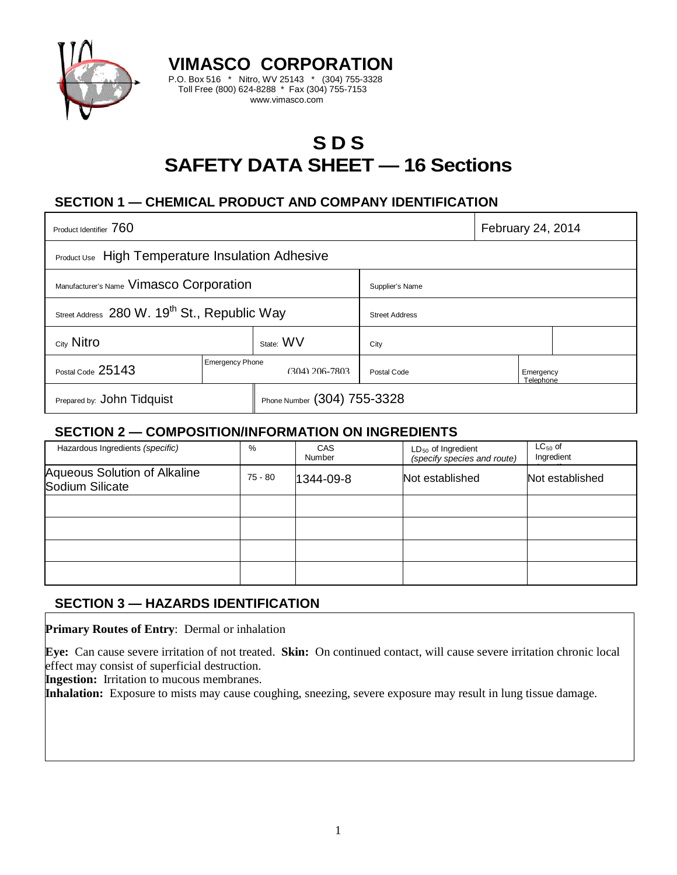

# **S D S SAFETY DATA SHEET — 16 Sections**

# **SECTION 1 — CHEMICAL PRODUCT AND COMPANY IDENTIFICATION**

**VIMASCO CORPORATION** P.O. Box 516 \* Nitro, WV 25143 \* (304) 755-3328 Toll Free (800) 624-8288 \* Fax (304) 755-7153 www.vimasco.com

| Product Identifier 760                                   |                                          |                             |                       | February 24, 2014      |  |  |
|----------------------------------------------------------|------------------------------------------|-----------------------------|-----------------------|------------------------|--|--|
| <b>Product Use</b> High Temperature Insulation Adhesive  |                                          |                             |                       |                        |  |  |
| Manufacturer's Name Vimasco Corporation                  |                                          |                             | Supplier's Name       |                        |  |  |
| Street Address 280 W. 19 <sup>th</sup> St., Republic Way |                                          |                             | <b>Street Address</b> |                        |  |  |
| City Nitro                                               |                                          | State: WV                   | City                  |                        |  |  |
| Postal Code 25143                                        | <b>Emergency Phone</b><br>(304) 206-7803 |                             | Postal Code           | Emergency<br>Telephone |  |  |
| Prepared by: John Tidquist                               |                                          | Phone Number (304) 755-3328 |                       |                        |  |  |

### **SECTION 2 — COMPOSITION/INFORMATION ON INGREDIENTS**

| Hazardous Ingredients (specific)                       | %       | <b>CAS</b><br><b>Number</b> | $LD_{50}$ of Ingredient<br>(specify species and route) | $LC_{50}$ of<br>Ingredient |
|--------------------------------------------------------|---------|-----------------------------|--------------------------------------------------------|----------------------------|
| <b>Aqueous Solution of Alkaline</b><br>Sodium Silicate | 75 - 80 | 1344-09-8                   | Not established                                        | Not established            |
|                                                        |         |                             |                                                        |                            |
|                                                        |         |                             |                                                        |                            |
|                                                        |         |                             |                                                        |                            |
|                                                        |         |                             |                                                        |                            |

# **SECTION 3 — HAZARDS IDENTIFICATION**

**Primary Routes of Entry**: Dermal or inhalation

**Eye:** Can cause severe irritation of not treated. **Skin:** On continued contact, will cause severe irritation chronic local effect may consist of superficial destruction.

**Ingestion:** Irritation to mucous membranes.

**Inhalation:** Exposure to mists may cause coughing, sneezing, severe exposure may result in lung tissue damage.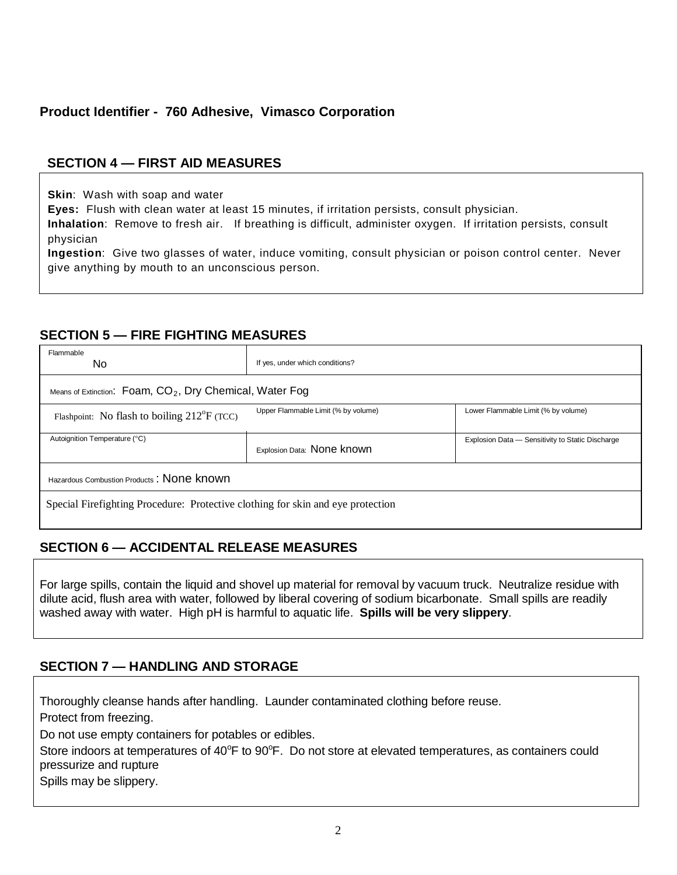# **Product Identifier - 760 Adhesive, Vimasco Corporation**

# **SECTION 4 — FIRST AID MEASURES**

**Skin**: Wash with soap and water

**Eyes:** Flush with clean water at least 15 minutes, if irritation persists, consult physician.

**Inhalation**: Remove to fresh air. If breathing is difficult, administer oxygen. If irritation persists, consult physician

**Ingestion**: Give two glasses of water, induce vomiting, consult physician or poison control center. Never give anything by mouth to an unconscious person.

### **SECTION 5 — FIRE FIGHTING MEASURES**

| Flammable<br>No                                                                 | If yes, under which conditions?     |                                                  |  |  |  |
|---------------------------------------------------------------------------------|-------------------------------------|--------------------------------------------------|--|--|--|
| Means of Extinction: $Foam$ , $CO2$ , Dry Chemical, Water Fog                   |                                     |                                                  |  |  |  |
| Flashpoint: No flash to boiling $212^{\circ}F$ (TCC)                            | Upper Flammable Limit (% by volume) | Lower Flammable Limit (% by volume)              |  |  |  |
| Autoignition Temperature (°C)                                                   | Explosion Data: None known          | Explosion Data - Sensitivity to Static Discharge |  |  |  |
| Hazardous Combustion Products: None known                                       |                                     |                                                  |  |  |  |
| Special Firefighting Procedure: Protective clothing for skin and eye protection |                                     |                                                  |  |  |  |

# **SECTION 6 — ACCIDENTAL RELEASE MEASURES**

For large spills, contain the liquid and shovel up material for removal by vacuum truck. Neutralize residue with dilute acid, flush area with water, followed by liberal covering of sodium bicarbonate. Small spills are readily washed away with water. High pH is harmful to aquatic life. **Spills will be very slippery**.

# **SECTION 7 — HANDLING AND STORAGE**

Thoroughly cleanse hands after handling. Launder contaminated clothing before reuse.

Protect from freezing.

Do not use empty containers for potables or edibles.

Store indoors at temperatures of 40°F to 90°F. Do not store at elevated temperatures, as containers could pressurize and rupture

Spills may be slippery.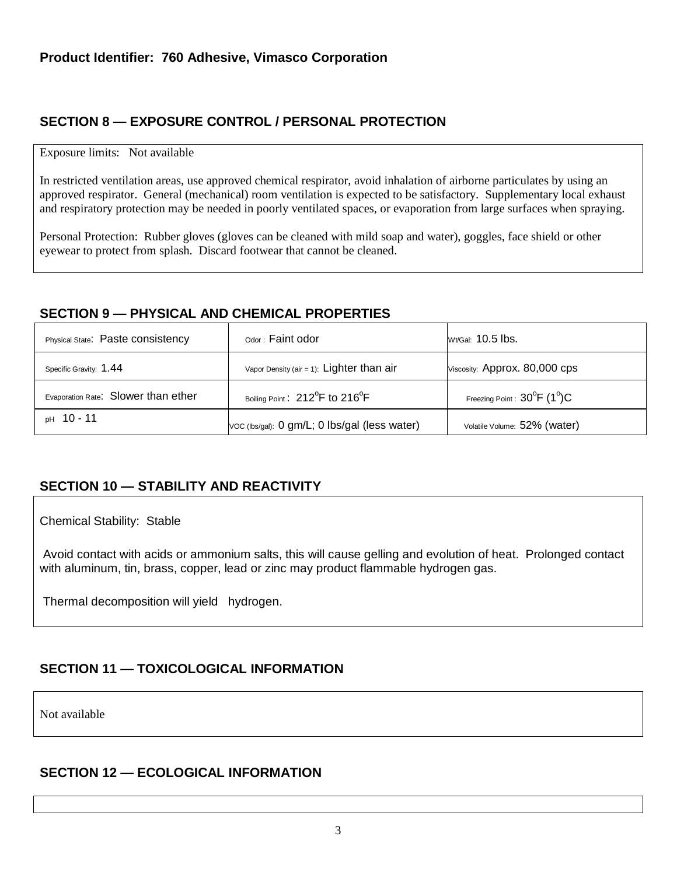# **SECTION 8 — EXPOSURE CONTROL / PERSONAL PROTECTION**

#### Exposure limits: Not available

In restricted ventilation areas, use approved chemical respirator, avoid inhalation of airborne particulates by using an approved respirator. General (mechanical) room ventilation is expected to be satisfactory. Supplementary local exhaust and respiratory protection may be needed in poorly ventilated spaces, or evaporation from large surfaces when spraying.

Personal Protection: Rubber gloves (gloves can be cleaned with mild soap and water), goggles, face shield or other eyewear to protect from splash. Discard footwear that cannot be cleaned.

### **SECTION 9 — PHYSICAL AND CHEMICAL PROPERTIES**

| Physical State: Paste consistency   | $\circ$ <sub>dor</sub> : Faint odor                     | Wt/Gal: 10.5 lbs.                                 |
|-------------------------------------|---------------------------------------------------------|---------------------------------------------------|
| Specific Gravity: 1.44              | Vapor Density (air = 1): $Lighter than air$             | Viscosity: Approx. 80,000 cps                     |
| Evaporation Rate: Slower than ether | Boiling Point: 212 <sup>°</sup> F to 216 <sup>°</sup> F | Freezing Point: $30^{\circ}$ F (1 <sup>o</sup> )C |
| <sub>pH</sub> 10 - 11               | VOC (lbs/gal): 0 gm/L; 0 lbs/gal (less water)           | Volatile Volume: 52% (water)                      |

# **SECTION 10 — STABILITY AND REACTIVITY**

Chemical Stability: Stable

Avoid contact with acids or ammonium salts, this will cause gelling and evolution of heat. Prolonged contact with aluminum, tin, brass, copper, lead or zinc may product flammable hydrogen gas.

Thermal decomposition will yield hydrogen.

# **SECTION 11 — TOXICOLOGICAL INFORMATION**

Not available

# **SECTION 12 — ECOLOGICAL INFORMATION**